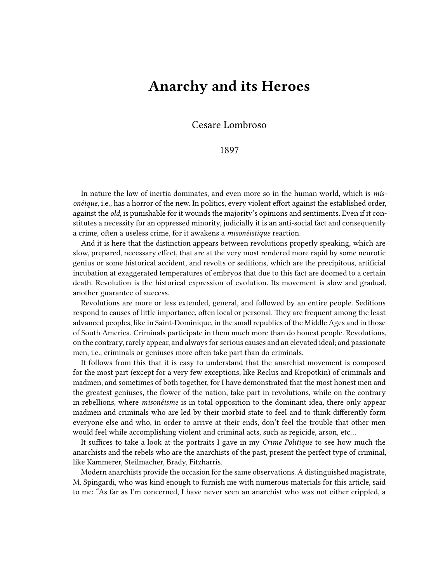## **Anarchy and its Heroes**

Cesare Lombroso

1897

In nature the law of inertia dominates, and even more so in the human world, which is *misonéique*, i.e., has a horror of the new. In politics, every violent effort against the established order, against the *old*, is punishable for it wounds the majority's opinions and sentiments. Even if it constitutes a necessity for an oppressed minority, judicially it is an anti-social fact and consequently a crime, often a useless crime, for it awakens a *misonéistique* reaction.

And it is here that the distinction appears between revolutions properly speaking, which are slow, prepared, necessary effect, that are at the very most rendered more rapid by some neurotic genius or some historical accident, and revolts or seditions, which are the precipitous, artificial incubation at exaggerated temperatures of embryos that due to this fact are doomed to a certain death. Revolution is the historical expression of evolution. Its movement is slow and gradual, another guarantee of success.

Revolutions are more or less extended, general, and followed by an entire people. Seditions respond to causes of little importance, often local or personal. They are frequent among the least advanced peoples, like in Saint-Dominique, in the small republics of the Middle Ages and in those of South America. Criminals participate in them much more than do honest people. Revolutions, on the contrary, rarely appear, and always for serious causes and an elevated ideal; and passionate men, i.e., criminals or geniuses more often take part than do criminals.

It follows from this that it is easy to understand that the anarchist movement is composed for the most part (except for a very few exceptions, like Reclus and Kropotkin) of criminals and madmen, and sometimes of both together, for I have demonstrated that the most honest men and the greatest geniuses, the flower of the nation, take part in revolutions, while on the contrary in rebellions, where *misonéisme* is in total opposition to the dominant idea, there only appear madmen and criminals who are led by their morbid state to feel and to think differently form everyone else and who, in order to arrive at their ends, don't feel the trouble that other men would feel while accomplishing violent and criminal acts, such as regicide, arson, etc…

It suffices to take a look at the portraits I gave in my *Crime Politique* to see how much the anarchists and the rebels who are the anarchists of the past, present the perfect type of criminal, like Kammerer, Steilmacher, Brady, Fitzharris.

Modern anarchists provide the occasion for the same observations. A distinguished magistrate, M. Spingardi, who was kind enough to furnish me with numerous materials for this article, said to me: "As far as I'm concerned, I have never seen an anarchist who was not either crippled, a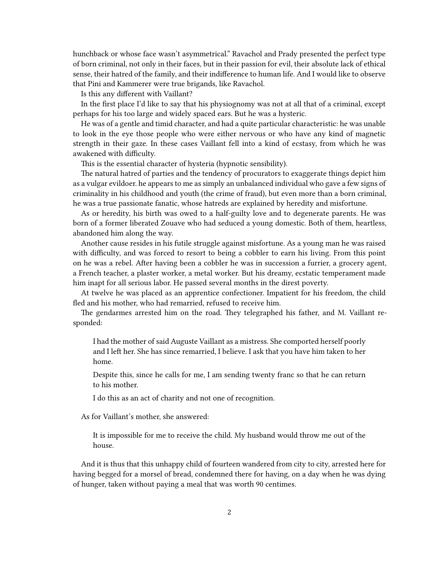hunchback or whose face wasn't asymmetrical." Ravachol and Prady presented the perfect type of born criminal, not only in their faces, but in their passion for evil, their absolute lack of ethical sense, their hatred of the family, and their indifference to human life. And I would like to observe that Pini and Kammerer were true brigands, like Ravachol.

Is this any different with Vaillant?

In the first place I'd like to say that his physiognomy was not at all that of a criminal, except perhaps for his too large and widely spaced ears. But he was a hysteric.

He was of a gentle and timid character, and had a quite particular characteristic: he was unable to look in the eye those people who were either nervous or who have any kind of magnetic strength in their gaze. In these cases Vaillant fell into a kind of ecstasy, from which he was awakened with difficulty.

This is the essential character of hysteria (hypnotic sensibility).

The natural hatred of parties and the tendency of procurators to exaggerate things depict him as a vulgar evildoer. he appears to me as simply an unbalanced individual who gave a few signs of criminality in his childhood and youth (the crime of fraud), but even more than a born criminal, he was a true passionate fanatic, whose hatreds are explained by heredity and misfortune.

As or heredity, his birth was owed to a half-guilty love and to degenerate parents. He was born of a former liberated Zouave who had seduced a young domestic. Both of them, heartless, abandoned him along the way.

Another cause resides in his futile struggle against misfortune. As a young man he was raised with difficulty, and was forced to resort to being a cobbler to earn his living. From this point on he was a rebel. After having been a cobbler he was in succession a furrier, a grocery agent, a French teacher, a plaster worker, a metal worker. But his dreamy, ecstatic temperament made him inapt for all serious labor. He passed several months in the direst poverty.

At twelve he was placed as an apprentice confectioner. Impatient for his freedom, the child fled and his mother, who had remarried, refused to receive him.

The gendarmes arrested him on the road. They telegraphed his father, and M. Vaillant responded:

I had the mother of said Auguste Vaillant as a mistress. She comported herself poorly and I left her. She has since remarried, I believe. I ask that you have him taken to her home.

Despite this, since he calls for me, I am sending twenty franc so that he can return to his mother.

I do this as an act of charity and not one of recognition.

As for Vaillant's mother, she answered:

It is impossible for me to receive the child. My husband would throw me out of the house.

And it is thus that this unhappy child of fourteen wandered from city to city, arrested here for having begged for a morsel of bread, condemned there for having, on a day when he was dying of hunger, taken without paying a meal that was worth 90 centimes.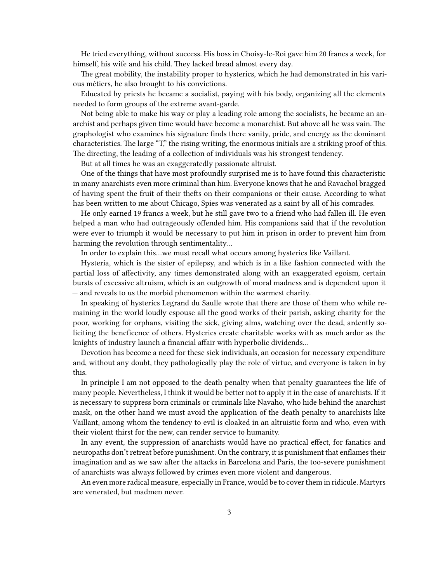He tried everything, without success. His boss in Choisy-le-Roi gave him 20 francs a week, for himself, his wife and his child. They lacked bread almost every day.

The great mobility, the instability proper to hysterics, which he had demonstrated in his various métiers, he also brought to his convictions.

Educated by priests he became a socialist, paying with his body, organizing all the elements needed to form groups of the extreme avant-garde.

Not being able to make his way or play a leading role among the socialists, he became an anarchist and perhaps given time would have become a monarchist. But above all he was vain. The graphologist who examines his signature finds there vanity, pride, and energy as the dominant characteristics. The large "T," the rising writing, the enormous initials are a striking proof of this. The directing, the leading of a collection of individuals was his strongest tendency.

But at all times he was an exaggeratedly passionate altruist.

One of the things that have most profoundly surprised me is to have found this characteristic in many anarchists even more criminal than him. Everyone knows that he and Ravachol bragged of having spent the fruit of their thefts on their companions or their cause. According to what has been written to me about Chicago, Spies was venerated as a saint by all of his comrades.

He only earned 19 francs a week, but he still gave two to a friend who had fallen ill. He even helped a man who had outrageously offended him. His companions said that if the revolution were ever to triumph it would be necessary to put him in prison in order to prevent him from harming the revolution through sentimentality…

In order to explain this…we must recall what occurs among hysterics like Vaillant.

Hysteria, which is the sister of epilepsy, and which is in a like fashion connected with the partial loss of affectivity, any times demonstrated along with an exaggerated egoism, certain bursts of excessive altruism, which is an outgrowth of moral madness and is dependent upon it — and reveals to us the morbid phenomenon within the warmest charity.

In speaking of hysterics Legrand du Saulle wrote that there are those of them who while remaining in the world loudly espouse all the good works of their parish, asking charity for the poor, working for orphans, visiting the sick, giving alms, watching over the dead, ardently soliciting the beneficence of others. Hysterics create charitable works with as much ardor as the knights of industry launch a financial affair with hyperbolic dividends…

Devotion has become a need for these sick individuals, an occasion for necessary expenditure and, without any doubt, they pathologically play the role of virtue, and everyone is taken in by this.

In principle I am not opposed to the death penalty when that penalty guarantees the life of many people. Nevertheless, I think it would be better not to apply it in the case of anarchists. If it is necessary to suppress born criminals or criminals like Navaho, who hide behind the anarchist mask, on the other hand we must avoid the application of the death penalty to anarchists like Vaillant, among whom the tendency to evil is cloaked in an altruistic form and who, even with their violent thirst for the new, can render service to humanity.

In any event, the suppression of anarchists would have no practical effect, for fanatics and neuropaths don't retreat before punishment. On the contrary, it is punishment that enflames their imagination and as we saw after the attacks in Barcelona and Paris, the too-severe punishment of anarchists was always followed by crimes even more violent and dangerous.

An even more radical measure, especially in France, would be to cover them in ridicule. Martyrs are venerated, but madmen never.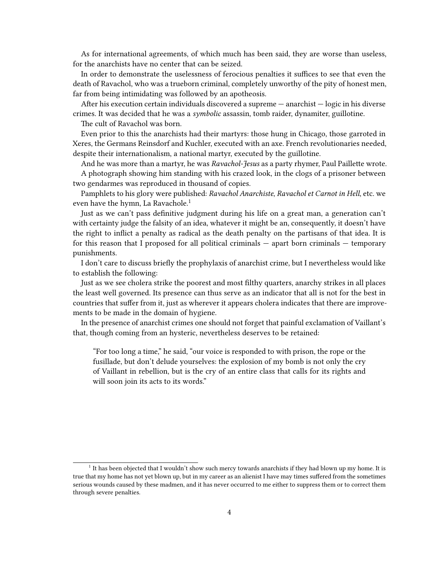As for international agreements, of which much has been said, they are worse than useless, for the anarchists have no center that can be seized.

In order to demonstrate the uselessness of ferocious penalties it suffices to see that even the death of Ravachol, who was a trueborn criminal, completely unworthy of the pity of honest men, far from being intimidating was followed by an apotheosis.

After his execution certain individuals discovered a supreme — anarchist — logic in his diverse crimes. It was decided that he was a *symbolic* assassin, tomb raider, dynamiter, guillotine.

The cult of Ravachol was born.

Even prior to this the anarchists had their martyrs: those hung in Chicago, those garroted in Xeres, the Germans Reinsdorf and Kuchler, executed with an axe. French revolutionaries needed, despite their internationalism, a national martyr, executed by the guillotine.

And he was more than a martyr, he was *Ravachol-Jesus* as a party rhymer, Paul Paillette wrote.

A photograph showing him standing with his crazed look, in the clogs of a prisoner between two gendarmes was reproduced in thousand of copies.

Pamphlets to his glory were published: *Ravachol Anarchiste*, *Ravachol et Carnot in Hell*, etc. we even have the hymn, La Ravachole.<sup>1</sup>

Just as we can't pass definitive judgment during his life on a great man, a generation can't with certainty judge the falsity of an idea, whatever it might be an, consequently, it doesn't have the right to inflict a penalty as radical as the death penalty on the partisans of that idea. It is for this reason that I proposed for all political criminals — apart born criminals — temporary punishments.

I don't care to discuss briefly the prophylaxis of anarchist crime, but I nevertheless would like to establish the following:

Just as we see cholera strike the poorest and most filthy quarters, anarchy strikes in all places the least well governed. Its presence can thus serve as an indicator that all is not for the best in countries that suffer from it, just as wherever it appears cholera indicates that there are improvements to be made in the domain of hygiene.

In the presence of anarchist crimes one should not forget that painful exclamation of Vaillant's that, though coming from an hysteric, nevertheless deserves to be retained:

"For too long a time," he said, "our voice is responded to with prison, the rope or the fusillade, but don't delude yourselves: the explosion of my bomb is not only the cry of Vaillant in rebellion, but is the cry of an entire class that calls for its rights and will soon join its acts to its words."

<sup>&</sup>lt;sup>1</sup> It has been objected that I wouldn't show such mercy towards anarchists if they had blown up my home. It is true that my home has not yet blown up, but in my career as an alienist I have may times suffered from the sometimes serious wounds caused by these madmen, and it has never occurred to me either to suppress them or to correct them through severe penalties.